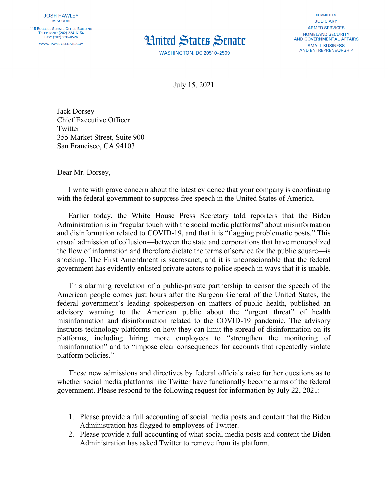

**WASHINGTON, DC 20510-2509** 

**COMMITTEES JUDICIARY ARMED SERVICES** HOMELAND SECURITY AND GOVERNMENTAL AFFAIRS **SMALL BUSINESS AND ENTREPRENEURSHIP** 

July 15, 2021

Jack Dorsey Chief Executive Officer **Twitter** 355 Market Street, Suite 900 San Francisco, CA 94103

Dear Mr. Dorsey,

I write with grave concern about the latest evidence that your company is coordinating with the federal government to suppress free speech in the United States of America.

Earlier today, the White House Press Secretary told reporters that the Biden Administration is in "regular touch with the social media platforms" about misinformation and disinformation related to COVID-19, and that it is "flagging problematic posts." This casual admission of collusion—between the state and corporations that have monopolized the flow of information and therefore dictate the terms of service for the public square—is shocking. The First Amendment is sacrosanct, and it is unconscionable that the federal government has evidently enlisted private actors to police speech in ways that it is unable.

This alarming revelation of a public-private partnership to censor the speech of the American people comes just hours after the Surgeon General of the United States, the federal government's leading spokesperson on matters of public health, published an advisory warning to the American public about the "urgent threat" of health misinformation and disinformation related to the COVID-19 pandemic. The advisory instructs technology platforms on how they can limit the spread of disinformation on its platforms, including hiring more employees to "strengthen the monitoring of misinformation" and to "impose clear consequences for accounts that repeatedly violate platform policies."

These new admissions and directives by federal officials raise further questions as to whether social media platforms like Twitter have functionally become arms of the federal government. Please respond to the following request for information by July 22, 2021:

- 1. Please provide a full accounting of social media posts and content that the Biden Administration has flagged to employees of Twitter.
- 2. Please provide a full accounting of what social media posts and content the Biden Administration has asked Twitter to remove from its platform.